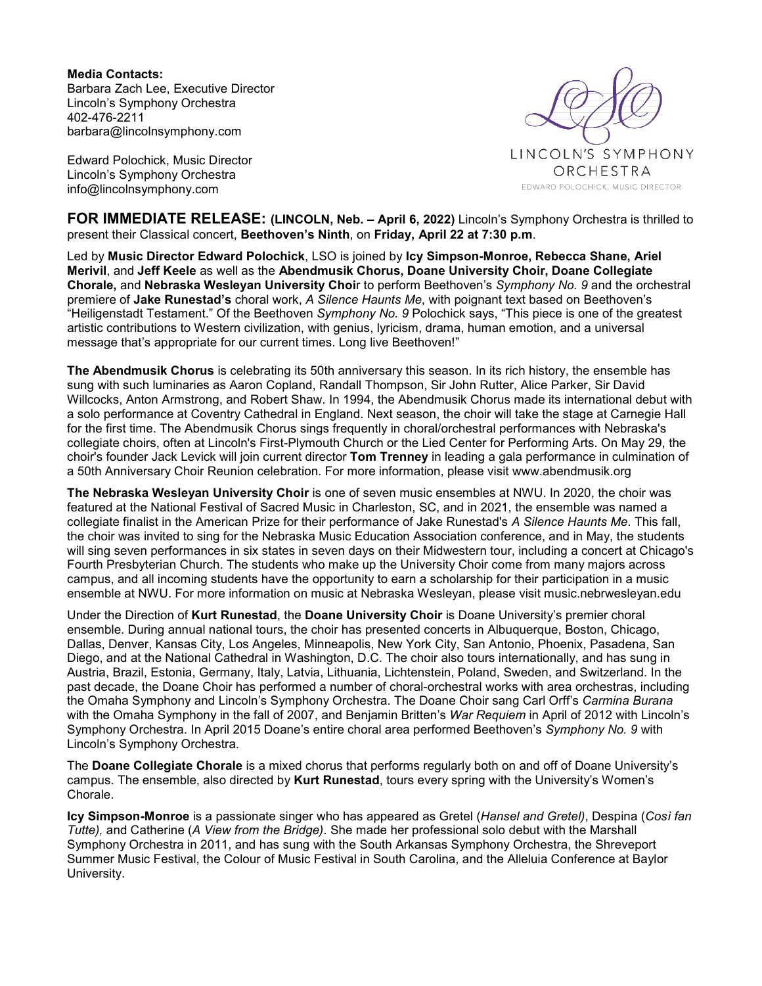**Media Contacts:**  Barbara Zach Lee, Executive Director Lincoln's Symphony Orchestra 402-476-2211 barbara@lincolnsymphony.com

Edward Polochick, Music Director Lincoln's Symphony Orchestra info@lincolnsymphony.com



**FOR IMMEDIATE RELEASE: (LINCOLN, Neb. – April 6, 2022)** Lincoln's Symphony Orchestra is thrilled to present their Classical concert, **Beethoven's Ninth**, on **Friday, April 22 at 7:30 p.m**.

Led by **Music Director Edward Polochick**, LSO is joined by **Icy Simpson-Monroe, Rebecca Shane, Ariel Merivil**, and **Jeff Keele** as well as the **Abendmusik Chorus, Doane University Choir, Doane Collegiate Chorale,** and **Nebraska Wesleyan University Choi**r to perform Beethoven's *Symphony No. 9* and the orchestral premiere of **Jake Runestad's** choral work, *A Silence Haunts Me*, with poignant text based on Beethoven's "Heiligenstadt Testament." Of the Beethoven *Symphony No. 9* Polochick says, "This piece is one of the greatest artistic contributions to Western civilization, with genius, lyricism, drama, human emotion, and a universal message that's appropriate for our current times. Long live Beethoven!"

**The Abendmusik Chorus** is celebrating its 50th anniversary this season. In its rich history, the ensemble has sung with such luminaries as Aaron Copland, Randall Thompson, Sir John Rutter, Alice Parker, Sir David Willcocks, Anton Armstrong, and Robert Shaw. In 1994, the Abendmusik Chorus made its international debut with a solo performance at Coventry Cathedral in England. Next season, the choir will take the stage at Carnegie Hall for the first time. The Abendmusik Chorus sings frequently in choral/orchestral performances with Nebraska's collegiate choirs, often at Lincoln's First-Plymouth Church or the Lied Center for Performing Arts. On May 29, the choir's founder Jack Levick will join current director **Tom Trenney** in leading a gala performance in culmination of a 50th Anniversary Choir Reunion celebration. For more information, please visit www.abendmusik.org

**The Nebraska Wesleyan University Choir** is one of seven music ensembles at NWU. In 2020, the choir was featured at the National Festival of Sacred Music in Charleston, SC, and in 2021, the ensemble was named a collegiate finalist in the American Prize for their performance of Jake Runestad's *A Silence Haunts Me*. This fall, the choir was invited to sing for the Nebraska Music Education Association conference, and in May, the students will sing seven performances in six states in seven days on their Midwestern tour, including a concert at Chicago's Fourth Presbyterian Church. The students who make up the University Choir come from many majors across campus, and all incoming students have the opportunity to earn a scholarship for their participation in a music ensemble at NWU. For more information on music at Nebraska Wesleyan, please visit music.nebrwesleyan.edu

Under the Direction of **Kurt Runestad**, the **Doane University Choir** is Doane University's premier choral ensemble. During annual national tours, the choir has presented concerts in Albuquerque, Boston, Chicago, Dallas, Denver, Kansas City, Los Angeles, Minneapolis, New York City, San Antonio, Phoenix, Pasadena, San Diego, and at the National Cathedral in Washington, D.C. The choir also tours internationally, and has sung in Austria, Brazil, Estonia, Germany, Italy, Latvia, Lithuania, Lichtenstein, Poland, Sweden, and Switzerland. In the past decade, the Doane Choir has performed a number of choral-orchestral works with area orchestras, including the Omaha Symphony and Lincoln's Symphony Orchestra. The Doane Choir sang Carl Orff's *Carmina Burana* with the Omaha Symphony in the fall of 2007, and Benjamin Britten's *War Requiem* in April of 2012 with Lincoln's Symphony Orchestra. In April 2015 Doane's entire choral area performed Beethoven's *Symphony No. 9* with Lincoln's Symphony Orchestra.

The **Doane Collegiate Chorale** is a mixed chorus that performs regularly both on and off of Doane University's campus. The ensemble, also directed by **Kurt Runestad**, tours every spring with the University's Women's Chorale.

**Icy Simpson-Monroe** is a passionate singer who has appeared as Gretel (*Hansel and Gretel)*, Despina (*Così fan Tutte),* and Catherine (*A View from the Bridge)*. She made her professional solo debut with the Marshall Symphony Orchestra in 2011, and has sung with the South Arkansas Symphony Orchestra, the Shreveport Summer Music Festival, the Colour of Music Festival in South Carolina, and the Alleluia Conference at Baylor University.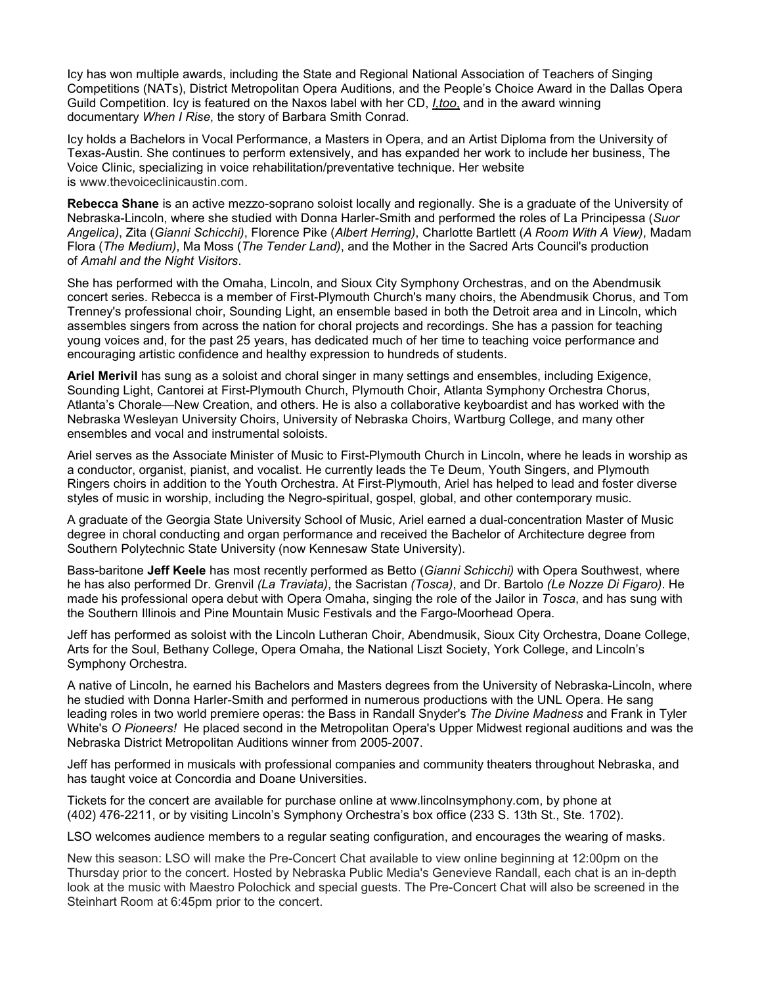Icy has won multiple awards, including the State and Regional National Association of Teachers of Singing Competitions (NATs), District Metropolitan Opera Auditions, and the People's Choice Award in the Dallas Opera Guild Competition. Icy is featured on the Naxos label with her CD, *I,too*, and in the award winning documentary *When I Rise*, the story of Barbara Smith Conrad.

Icy holds a Bachelors in Vocal Performance, a Masters in Opera, and an Artist Diploma from the University of Texas-Austin. She continues to perform extensively, and has expanded her work to include her business, The Voice Clinic, specializing in voice rehabilitation/preventative technique. Her website is www.thevoiceclinicaustin.com.

**Rebecca Shane** is an active mezzo-soprano soloist locally and regionally. She is a graduate of the University of Nebraska-Lincoln, where she studied with Donna Harler-Smith and performed the roles of La Principessa (*Suor Angelica)*, Zita (*Gianni Schicchi)*, Florence Pike (*Albert Herring)*, Charlotte Bartlett (*A Room With A View)*, Madam Flora (*The Medium)*, Ma Moss (*The Tender Land)*, and the Mother in the Sacred Arts Council's production of *Amahl and the Night Visitors*.

She has performed with the Omaha, Lincoln, and Sioux City Symphony Orchestras, and on the Abendmusik concert series. Rebecca is a member of First-Plymouth Church's many choirs, the Abendmusik Chorus, and Tom Trenney's professional choir, Sounding Light, an ensemble based in both the Detroit area and in Lincoln, which assembles singers from across the nation for choral projects and recordings. She has a passion for teaching young voices and, for the past 25 years, has dedicated much of her time to teaching voice performance and encouraging artistic confidence and healthy expression to hundreds of students.

**Ariel Merivil** has sung as a soloist and choral singer in many settings and ensembles, including Exigence, Sounding Light, Cantorei at First-Plymouth Church, Plymouth Choir, Atlanta Symphony Orchestra Chorus, Atlanta's Chorale—New Creation, and others. He is also a collaborative keyboardist and has worked with the Nebraska Wesleyan University Choirs, University of Nebraska Choirs, Wartburg College, and many other ensembles and vocal and instrumental soloists.

Ariel serves as the Associate Minister of Music to First-Plymouth Church in Lincoln, where he leads in worship as a conductor, organist, pianist, and vocalist. He currently leads the Te Deum, Youth Singers, and Plymouth Ringers choirs in addition to the Youth Orchestra. At First-Plymouth, Ariel has helped to lead and foster diverse styles of music in worship, including the Negro-spiritual, gospel, global, and other contemporary music.

A graduate of the Georgia State University School of Music, Ariel earned a dual-concentration Master of Music degree in choral conducting and organ performance and received the Bachelor of Architecture degree from Southern Polytechnic State University (now Kennesaw State University).

Bass-baritone **Jeff Keele** has most recently performed as Betto (*Gianni Schicchi)* with Opera Southwest, where he has also performed Dr. Grenvil *(La Traviata)*, the Sacristan *(Tosca)*, and Dr. Bartolo *(Le Nozze Di Figaro)*. He made his professional opera debut with Opera Omaha, singing the role of the Jailor in *Tosca*, and has sung with the Southern Illinois and Pine Mountain Music Festivals and the Fargo-Moorhead Opera.

Jeff has performed as soloist with the Lincoln Lutheran Choir, Abendmusik, Sioux City Orchestra, Doane College, Arts for the Soul, Bethany College, Opera Omaha, the National Liszt Society, York College, and Lincoln's Symphony Orchestra.

A native of Lincoln, he earned his Bachelors and Masters degrees from the University of Nebraska-Lincoln, where he studied with Donna Harler-Smith and performed in numerous productions with the UNL Opera. He sang leading roles in two world premiere operas: the Bass in Randall Snyder's *The Divine Madness* and Frank in Tyler White's *O Pioneers!* He placed second in the Metropolitan Opera's Upper Midwest regional auditions and was the Nebraska District Metropolitan Auditions winner from 2005-2007.

Jeff has performed in musicals with professional companies and community theaters throughout Nebraska, and has taught voice at Concordia and Doane Universities.

Tickets for the concert are available for purchase online at www.lincolnsymphony.com, by phone at (402) 476-2211, or by visiting Lincoln's Symphony Orchestra's box office (233 S. 13th St., Ste. 1702).

LSO welcomes audience members to a regular seating configuration, and encourages the wearing of masks.

New this season: LSO will make the Pre-Concert Chat available to view online beginning at 12:00pm on the Thursday prior to the concert. Hosted by Nebraska Public Media's Genevieve Randall, each chat is an in-depth look at the music with Maestro Polochick and special guests. The Pre-Concert Chat will also be screened in the Steinhart Room at 6:45pm prior to the concert.